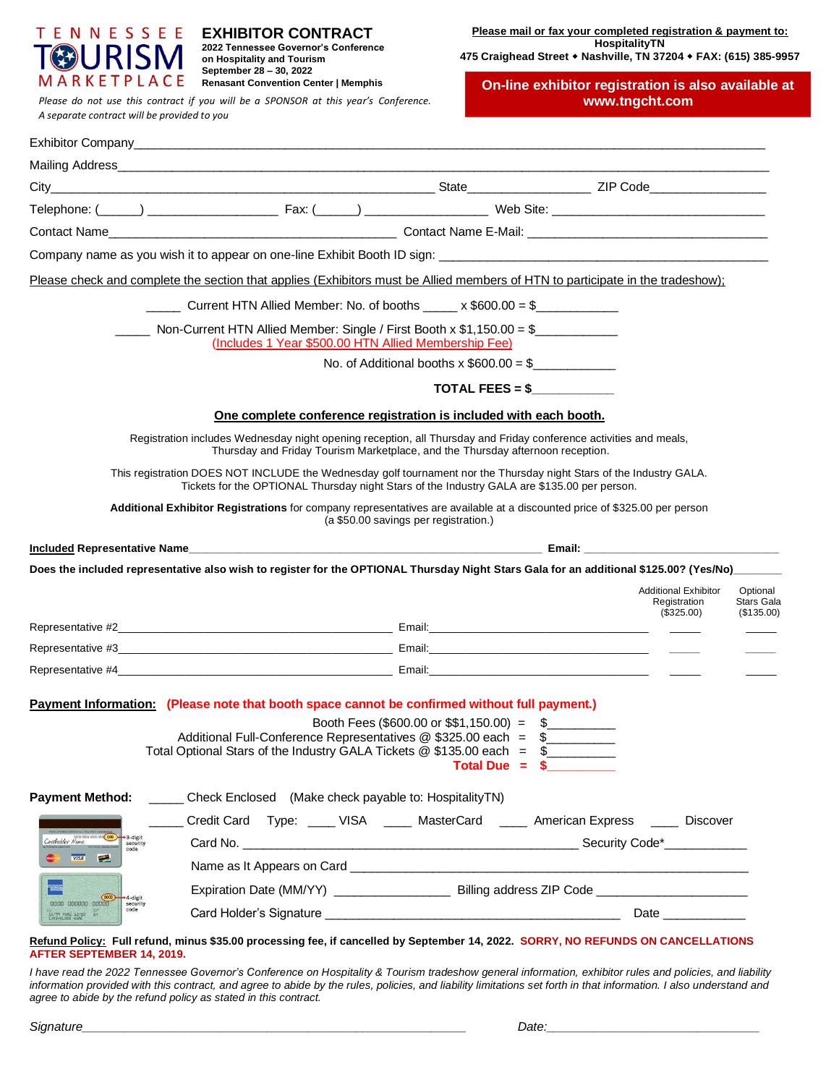

**EXHIBITOR CONTRACT 2022 Tennessee Governor's Conference on Hospitality and Tourism September 28 – 30, 2022 Renasant Convention Center | Memphis**

*Please do not use this contract if you will be a SPONSOR at this year's Conference.* **www.tngcht.com** *A separate contract will be provided to you*

**Please mail or fax your completed registration & payment to: HospitalityTN**

**475 Craighead Street Nashville, TN 37204 FAX: (615) 385-9957**

**On-line exhibitor registration is also available at** 

|                                                                         | Please check and complete the section that applies (Exhibitors must be Allied members of HTN to participate in the tradeshow);                                                                                                          |                                                                                |               |                                                             |                                             |
|-------------------------------------------------------------------------|-----------------------------------------------------------------------------------------------------------------------------------------------------------------------------------------------------------------------------------------|--------------------------------------------------------------------------------|---------------|-------------------------------------------------------------|---------------------------------------------|
|                                                                         | ______ Current HTN Allied Member: No. of booths _____ x \$600.00 = \$____________                                                                                                                                                       |                                                                                |               |                                                             |                                             |
|                                                                         | (Includes 1 Year \$500.00 HTN Allied Membership Fee)                                                                                                                                                                                    |                                                                                |               |                                                             |                                             |
|                                                                         |                                                                                                                                                                                                                                         | No. of Additional booths x $$600.00 = $$                                       |               |                                                             |                                             |
|                                                                         |                                                                                                                                                                                                                                         | $\text{TOTAL FEES} = $$                                                        |               |                                                             |                                             |
|                                                                         |                                                                                                                                                                                                                                         | One complete conference registration is included with each booth.              |               |                                                             |                                             |
|                                                                         | Registration includes Wednesday night opening reception, all Thursday and Friday conference activities and meals,                                                                                                                       | Thursday and Friday Tourism Marketplace, and the Thursday afternoon reception. |               |                                                             |                                             |
|                                                                         | This registration DOES NOT INCLUDE the Wednesday golf tournament nor the Thursday night Stars of the Industry GALA.<br>Tickets for the OPTIONAL Thursday night Stars of the Industry GALA are \$135.00 per person.                      |                                                                                |               |                                                             |                                             |
|                                                                         | Additional Exhibitor Registrations for company representatives are available at a discounted price of \$325.00 per person                                                                                                               | (a \$50.00 savings per registration.)                                          |               |                                                             |                                             |
|                                                                         |                                                                                                                                                                                                                                         |                                                                                |               |                                                             |                                             |
|                                                                         | Does the included representative also wish to register for the OPTIONAL Thursday Night Stars Gala for an additional \$125.00? (Yes/No) _______                                                                                          |                                                                                |               |                                                             |                                             |
|                                                                         |                                                                                                                                                                                                                                         |                                                                                |               | <b>Additional Exhibitor</b><br>Registration<br>$(\$325.00)$ | Optional<br><b>Stars Gala</b><br>(\$135.00) |
|                                                                         |                                                                                                                                                                                                                                         |                                                                                |               |                                                             |                                             |
|                                                                         |                                                                                                                                                                                                                                         |                                                                                |               |                                                             |                                             |
|                                                                         |                                                                                                                                                                                                                                         |                                                                                |               |                                                             |                                             |
|                                                                         | Payment Information: (Please note that booth space cannot be confirmed without full payment.)<br>Additional Full-Conference Representatives @ \$325.00 each = \$<br>Total Optional Stars of the Industry GALA Tickets @ \$135.00 each = | Booth Fees (\$600.00 or \$\$1,150.00) = $\frac{1}{2}$<br>Total Due $=$         | $\sim$ $\sim$ |                                                             |                                             |
|                                                                         |                                                                                                                                                                                                                                         |                                                                                |               |                                                             |                                             |
| <b>Payment Method:</b>                                                  | ______ Check Enclosed (Make check payable to: HospitalityTN)                                                                                                                                                                            |                                                                                |               |                                                             |                                             |
| 3-digit                                                                 | Credit Card Type: ____ VISA ____ MasterCard ____ American Express ____ Discover                                                                                                                                                         |                                                                                |               |                                                             |                                             |
| Cavolnolder Name<br>security<br>code<br><b>VISA</b><br><b>SIGNATION</b> | Card No. <b>Example 2018</b> Security Code* <b>Security Code*</b>                                                                                                                                                                       |                                                                                |               |                                                             |                                             |
|                                                                         | Name as It Appears on Card <b>Call Accord Contract Contract Contract Contract Contract Contract Control Control Control Control Control Control Control Control Control Control Control Control Control Control Control Control </b>    |                                                                                |               |                                                             |                                             |
| 0000<br>4-digit<br>0000 000000 00000<br>security<br>code                |                                                                                                                                                                                                                                         |                                                                                |               | Date ______________                                         |                                             |

#### **Refund Policy: Full refund, minus \$35.00 processing fee, if cancelled by September 14, 2022. SORRY, NO REFUNDS ON CANCELLATIONS AFTER SEPTEMBER 14, 2019.**

*I have read the 2022 Tennessee Governor's Conference on Hospitality & Tourism tradeshow general information, exhibitor rules and policies, and liability information provided with this contract, and agree to abide by the rules, policies, and liability limitations set forth in that information. I also understand and agree to abide by the refund policy as stated in this contract.*